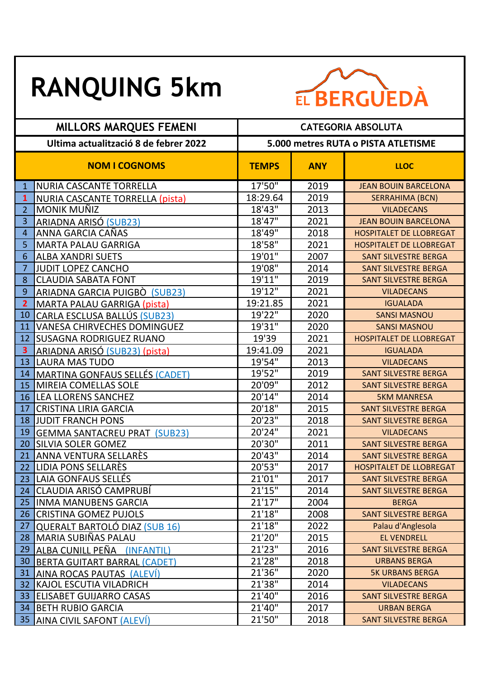## **RANQUING 5km**



| <b>MILLORS MARQUES FEMENI</b>         |                                     | <b>CATEGORIA ABSOLUTA</b>           |            |                                |  |
|---------------------------------------|-------------------------------------|-------------------------------------|------------|--------------------------------|--|
| Ultima actualització 8 de febrer 2022 |                                     | 5.000 metres RUTA o PISTA ATLETISME |            |                                |  |
| <b>NOM I COGNOMS</b>                  |                                     | <b>TEMPS</b>                        | <b>ANY</b> | <b>LLOC</b>                    |  |
| $\mathbf{1}$                          | NURIA CASCANTE TORRELLA             | 17'50"                              | 2019       | <b>JEAN BOUIN BARCELONA</b>    |  |
| $\mathbf{1}$                          | NURIA CASCANTE TORRELLA (pista)     | 18:29.64                            | 2019       | <b>SERRAHIMA (BCN)</b>         |  |
| $\overline{2}$                        | <b>MONIK MUÑIZ</b>                  | 18'43''                             | 2013       | <b>VILADECANS</b>              |  |
| 3                                     | <b>ARIADNA ARISÓ (SUB23)</b>        | 18'47"                              | 2021       | <b>JEAN BOUIN BARCELONA</b>    |  |
| 4                                     | ANNA GARCIA CAÑAS                   | 18'49"                              | 2018       | <b>HOSPITALET DE LLOBREGAT</b> |  |
| 5                                     | <b>MARTA PALAU GARRIGA</b>          | 18'58"                              | 2021       | <b>HOSPITALET DE LLOBREGAT</b> |  |
| 6                                     | <b>ALBA XANDRI SUETS</b>            | 19'01"                              | 2007       | <b>SANT SILVESTRE BERGA</b>    |  |
| 7                                     | <b>JUDIT LOPEZ CANCHO</b>           | 19'08"                              | 2014       | <b>SANT SILVESTRE BERGA</b>    |  |
| 8                                     | <b>CLAUDIA SABATA FONT</b>          | 19'11"                              | 2019       | <b>SANT SILVESTRE BERGA</b>    |  |
| 9                                     | ARIADNA GARCIA PUIGBÒ (SUB23)       | 19'12"                              | 2021       | <b>VILADECANS</b>              |  |
| $\overline{2}$                        | MARTA PALAU GARRIGA (pista)         | 19:21.85                            | 2021       | <b>IGUALADA</b>                |  |
| 10                                    | CARLA ESCLUSA BALLÚS (SUB23)        | 19'22"                              | 2020       | <b>SANSI MASNOU</b>            |  |
| 11                                    | <b>VANESA CHIRVECHES DOMINGUEZ</b>  | 19'31"                              | 2020       | <b>SANSI MASNOU</b>            |  |
| 12                                    | <b>SUSAGNA RODRIGUEZ RUANO</b>      | 19'39                               | 2021       | <b>HOSPITALET DE LLOBREGAT</b> |  |
| 3                                     | ARIADNA ARISÓ (SUB23) (pista)       | 19:41.09                            | 2021       | <b>IGUALADA</b>                |  |
| 13                                    | <b>LAURA MAS TUDO</b>               | 19'54"                              | 2013       | <b>VILADECANS</b>              |  |
| 14                                    | MARTINA GONFAUS SELLÉS (CADET)      | 19'52"                              | 2019       | <b>SANT SILVESTRE BERGA</b>    |  |
| 15                                    | <b>MIREIA COMELLAS SOLE</b>         | 20'09"                              | 2012       | <b>SANT SILVESTRE BERGA</b>    |  |
| 16                                    | <b>LEA LLORENS SANCHEZ</b>          | 20'14"                              | 2014       | <b>5KM MANRESA</b>             |  |
| 17                                    | <b>CRISTINA LIRIA GARCIA</b>        | 20'18"                              | 2015       | <b>SANT SILVESTRE BERGA</b>    |  |
| 18                                    | <b>JUDIT FRANCH PONS</b>            | 20'23"                              | 2018       | <b>SANT SILVESTRE BERGA</b>    |  |
| 19                                    | <b>GEMMA SANTACREU PRAT (SUB23)</b> | 20'24"                              | 2021       | <b>VILADECANS</b>              |  |
| 20                                    | <b>SILVIA SOLER GOMEZ</b>           | 20'30"                              | 2011       | <b>SANT SILVESTRE BERGA</b>    |  |
| 21                                    | ANNA VENTURA SELLARÈS               | 20'43"                              | 2014       | <b>SANT SILVESTRE BERGA</b>    |  |
| 22                                    | <b>LIDIA PONS SELLARÈS</b>          | 20'53"                              | 2017       | HOSPITALET DE LLOBREGAT        |  |
|                                       | 23  LAIA GONFAUS SELLÉS             | 21'01"                              | 2017       | <b>SANT SILVESTRE BERGA</b>    |  |
|                                       | 24 CLAUDIA ARISÓ CAMPRUBÍ           | 21'15"                              | 2014       | <b>SANT SILVESTRE BERGA</b>    |  |
|                                       | 25 INMA MANUBENS GARCIA             | 21'17''                             | 2004       | <b>BERGA</b>                   |  |
|                                       | 26 CRISTINA GOMEZ PUJOLS            | 21'18"                              | 2008       | <b>SANT SILVESTRE BERGA</b>    |  |
| 27                                    | QUERALT BARTOLÓ DIAZ (SUB 16)       | 21'18"                              | 2022       | Palau d'Anglesola              |  |
|                                       | 28 MARIA SUBIÑAS PALAU              | 21'20"                              | 2015       | <b>EL VENDRELL</b>             |  |
| 29                                    | ALBA CUNILL PEÑA (INFANTIL)         | 21'23"                              | 2016       | <b>SANT SILVESTRE BERGA</b>    |  |
| 30                                    | BERTA GUITART BARRAL (CADET)        | 21'28"                              | 2018       | <b>URBANS BERGA</b>            |  |
| 31                                    | <b>AINA ROCAS PAUTAS (ALEVÍ)</b>    | 21'36"                              | 2020       | <b>5K URBANS BERGA</b>         |  |
| 32                                    | KAJOL ESCUTIA VILADRICH             | 21'38"                              | 2014       | <b>VILADECANS</b>              |  |
| 33                                    | <b>ELISABET GUIJARRO CASAS</b>      | 21'40"                              | 2016       | <b>SANT SILVESTRE BERGA</b>    |  |
|                                       | 34 BETH RUBIO GARCIA                | 21'40"                              | 2017       | <b>URBAN BERGA</b>             |  |
|                                       | 35 AINA CIVIL SAFONT (ALEVI)        | 21'50"                              | 2018       | <b>SANT SILVESTRE BERGA</b>    |  |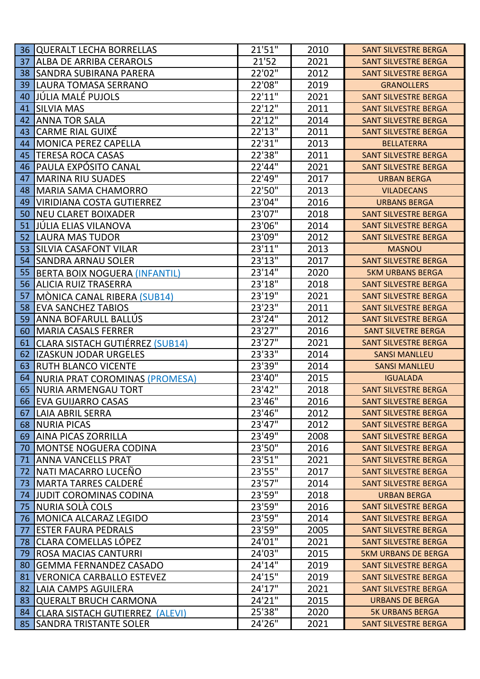| 36 | <b>QUERALT LECHA BORRELLAS</b>         | 21'51" | 2010 | <b>SANT SILVESTRE BERGA</b> |
|----|----------------------------------------|--------|------|-----------------------------|
| 37 | <b>ALBA DE ARRIBA CERAROLS</b>         | 21'52  | 2021 | <b>SANT SILVESTRE BERGA</b> |
| 38 | <b>SANDRA SUBIRANA PARERA</b>          | 22'02" | 2012 | <b>SANT SILVESTRE BERGA</b> |
| 39 | LAURA TOMASA SERRANO                   | 22'08" | 2019 | <b>GRANOLLERS</b>           |
| 40 | JÚLIA MALÉ PUJOLS                      | 22'11" | 2021 | <b>SANT SILVESTRE BERGA</b> |
| 41 | <b>SILVIA MAS</b>                      | 22'12" | 2011 | <b>SANT SILVESTRE BERGA</b> |
| 42 | <b>ANNA TOR SALA</b>                   | 22'12" | 2014 | <b>SANT SILVESTRE BERGA</b> |
| 43 | <b>CARME RIAL GUIXÉ</b>                | 22'13" | 2011 | <b>SANT SILVESTRE BERGA</b> |
| 44 | <b>MONICA PEREZ CAPELLA</b>            | 22'31" | 2013 | <b>BELLATERRA</b>           |
| 45 | <b>TERESA ROCA CASAS</b>               | 22'38" | 2011 | <b>SANT SILVESTRE BERGA</b> |
| 46 | PAULA EXPÓSITO CANAL                   | 22'44" | 2021 | <b>SANT SILVESTRE BERGA</b> |
| 47 | <b>MARINA RIU SUADES</b>               | 22'49" | 2017 | <b>URBAN BERGA</b>          |
| 48 | <b>MARIA SAMA CHAMORRO</b>             | 22'50" | 2013 | <b>VILADECANS</b>           |
| 49 | <b>VIRIDIANA COSTA GUTIERREZ</b>       | 23'04" | 2016 | <b>URBANS BERGA</b>         |
| 50 | <b>NEU CLARET BOIXADER</b>             | 23'07" | 2018 | <b>SANT SILVESTRE BERGA</b> |
| 51 | JÚLIA ELIAS VILANOVA                   | 23'06" | 2014 | <b>SANT SILVESTRE BERGA</b> |
| 52 | <b>LAURA MAS TUDOR</b>                 | 23'09" | 2012 | <b>SANT SILVESTRE BERGA</b> |
| 53 | <b>SILVIA CASAFONT VILAR</b>           | 23'11" | 2013 | <b>MASNOU</b>               |
| 54 | <b>SANDRA ARNAU SOLER</b>              | 23'13" | 2017 | <b>SANT SILVESTRE BERGA</b> |
| 55 | <b>BERTA BOIX NOGUERA (INFANTIL)</b>   | 23'14" | 2020 | <b>5KM URBANS BERGA</b>     |
| 56 | <b>ALICIA RUIZ TRASERRA</b>            | 23'18" | 2018 | <b>SANT SILVESTRE BERGA</b> |
| 57 | MÒNICA CANAL RIBERA (SUB14)            | 23'19" | 2021 | <b>SANT SILVESTRE BERGA</b> |
| 58 | <b>EVA SANCHEZ TABIOS</b>              | 23'23" | 2011 | <b>SANT SILVESTRE BERGA</b> |
| 59 | ANNA BOFARULL BALLÚS                   | 23'24" | 2012 | <b>SANT SILVESTRE BERGA</b> |
| 60 | <b>MARIA CASALS FERRER</b>             | 23'27" | 2016 | <b>SANT SILVETRE BERGA</b>  |
| 61 | <b>CLARA SISTACH GUTIÉRREZ (SUB14)</b> | 23'27" | 2021 | <b>SANT SILVESTRE BERGA</b> |
| 62 | <b>IZASKUN JODAR URGELES</b>           | 23'33" | 2014 | <b>SANSI MANLLEU</b>        |
| 63 | <b>RUTH BLANCO VICENTE</b>             | 23'39" | 2014 | <b>SANSI MANLLEU</b>        |
| 64 | NURIA PRAT COROMINAS (PROMESA)         | 23'40" | 2015 | <b>IGUALADA</b>             |
| 65 | <b>NURIA ARMENGAU TORT</b>             | 23'42" | 2018 | <b>SANT SILVESTRE BERGA</b> |
| 66 | <b>EVA GUIJARRO CASAS</b>              | 23'46" | 2016 | <b>SANT SILVESTRE BERGA</b> |
| 67 | <b>LAIA ABRIL SERRA</b>                | 23'46" | 2012 | <b>SANT SILVESTRE BERGA</b> |
| 68 | <b>NURIA PICAS</b>                     | 23'47" | 2012 | <b>SANT SILVESTRE BERGA</b> |
| 69 | <b>AINA PICAS ZORRILLA</b>             | 23'49" | 2008 | <b>SANT SILVESTRE BERGA</b> |
| 70 | <b>MONTSE NOGUERA CODINA</b>           | 23'50" | 2016 | <b>SANT SILVESTRE BERGA</b> |
| 71 | <b>ANNA VANCELLS PRAT</b>              | 23'51" | 2021 | <b>SANT SILVESTRE BERGA</b> |
| 72 | NATI MACARRO LUCEÑO                    | 23'55" | 2017 | <b>SANT SILVESTRE BERGA</b> |
| 73 | <b>MARTA TARRES CALDERÉ</b>            | 23'57" | 2014 | <b>SANT SILVESTRE BERGA</b> |
| 74 | <b>JUDIT COROMINAS CODINA</b>          | 23'59" | 2018 | <b>URBAN BERGA</b>          |
| 75 | NURIA SOLÀ COLS                        | 23'59" | 2016 | <b>SANT SILVESTRE BERGA</b> |
| 76 | <b>MONICA ALCARAZ LEGIDO</b>           | 23'59" | 2014 | <b>SANT SILVESTRE BERGA</b> |
| 77 | <b>ESTER FAURA PEDRALS</b>             | 23'59" | 2005 | <b>SANT SILVESTRE BERGA</b> |
| 78 | <b>CLARA COMELLAS LÓPEZ</b>            | 24'01" | 2021 | <b>SANT SILVESTRE BERGA</b> |
| 79 | <b>ROSA MACIAS CANTURRI</b>            | 24'03" | 2015 | <b>5KM URBANS DE BERGA</b>  |
| 80 | <b>GEMMA FERNANDEZ CASADO</b>          | 24'14" | 2019 | <b>SANT SILVESTRE BERGA</b> |
| 81 | <b>VERONICA CARBALLO ESTEVEZ</b>       | 24'15" | 2019 | <b>SANT SILVESTRE BERGA</b> |
| 82 | LAIA CAMPS AGUILERA                    | 24'17" | 2021 | <b>SANT SILVESTRE BERGA</b> |
| 83 | <b>QUERALT BRUCH CARMONA</b>           | 24'21" | 2015 | <b>URBANS DE BERGA</b>      |
| 84 | <b>CLARA SISTACH GUTIERREZ (ALEVI)</b> | 25'38" | 2020 | <b>5K URBANS BERGA</b>      |
| 85 | <b>SANDRA TRISTANTE SOLER</b>          | 24'26" | 2021 | SANT SILVESTRE BERGA        |